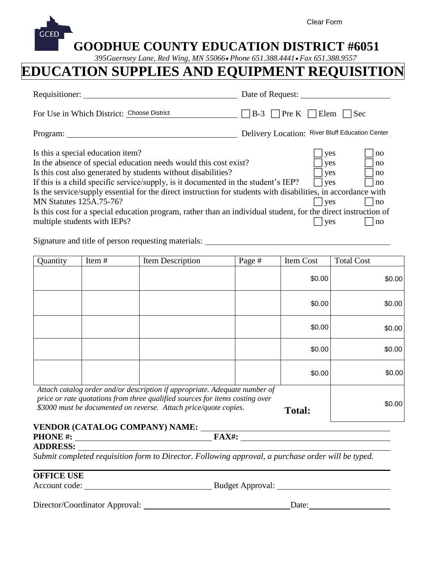| <b>GCED</b> |                                                |  |  |  | Clear Form                                                                                                          |  |
|-------------|------------------------------------------------|--|--|--|---------------------------------------------------------------------------------------------------------------------|--|
|             | <b>GOODHUE COUNTY EDUCATION DISTRICT #6051</b> |  |  |  | $\mathbf{D}$ in $\mathbf{D}$ is the state of $\mathbf{D}$ is the state of $\mathbf{D}$ is the state of $\mathbf{D}$ |  |

## *395Guernsey Lane, Red Wing, MN 55066 Phone 651.388.4441 Fax 651.388.9557*

# **EDUCATION SUPPLIES AND EQUIPMENT REQUISITION**

| <b>GCED</b><br><b>GOODHUE COUNTY EDUCATION DISTRICT #6051</b>                                                                                                                                                                                                                                                                                                                 | Clear Form                                                   |  |  |  |  |  |  |
|-------------------------------------------------------------------------------------------------------------------------------------------------------------------------------------------------------------------------------------------------------------------------------------------------------------------------------------------------------------------------------|--------------------------------------------------------------|--|--|--|--|--|--|
| 395Guernsey Lane, Red Wing, MN 55066 . Phone 651.388.4441 . Fax 651.388.9557<br>DUCATION SUPPLIES AND EQUIPMENT REQUISITIOI                                                                                                                                                                                                                                                   |                                                              |  |  |  |  |  |  |
| Requisitioner:                                                                                                                                                                                                                                                                                                                                                                | Date of Request:                                             |  |  |  |  |  |  |
| For Use in Which District: Choose District                                                                                                                                                                                                                                                                                                                                    | $\lceil \text{Pre } K \rceil$ Elem<br>$\exists$ Sec<br>$B-3$ |  |  |  |  |  |  |
| Program:                                                                                                                                                                                                                                                                                                                                                                      | Delivery Location: River Bluff Education Center              |  |  |  |  |  |  |
| Is this a special education item?<br>In the absence of special education needs would this cost exist?<br>Is this cost also generated by students without disabilities?<br>If this is a child specific service/supply, is it documented in the student's IEP?<br>Is the service/supply essential for the direct instruction for students with disabilities, in accordance with | yes<br>no<br>yes<br>no<br>ves<br>no<br>$ $ yes<br>no         |  |  |  |  |  |  |
| <b>MN Statures 125A.75-76?</b><br>Is this cost for a special education program, rather than an individual student, for the direct instruction of<br>multiple students with IEPs?                                                                                                                                                                                              | yes<br>no<br>yes<br>$\ln 0$                                  |  |  |  |  |  |  |

Signature and title of person requesting materials:

| Quantity                                                                                                                                                                                                                       | Item#  | Item Description | Page # | Item Cost | <b>Total Cost</b> |
|--------------------------------------------------------------------------------------------------------------------------------------------------------------------------------------------------------------------------------|--------|------------------|--------|-----------|-------------------|
|                                                                                                                                                                                                                                |        |                  |        | \$0.00    | \$0.00            |
|                                                                                                                                                                                                                                |        |                  |        | \$0.00    | \$0.00            |
|                                                                                                                                                                                                                                |        |                  |        | \$0.00    | \$0.00            |
|                                                                                                                                                                                                                                |        |                  |        | \$0.00    | \$0.00            |
|                                                                                                                                                                                                                                |        |                  |        | \$0.00    | \$0.00            |
| Attach catalog order and/or description if appropriate. Adequate number of<br>price or rate quotations from three qualified sources for items costing over<br>\$3000 must be documented on reverse. Attach price/quote copies. | \$0.00 |                  |        |           |                   |

#### **VENDOR (CATALOG COMPANY) NAME: PHONE #:** FAX#:

#### **ADDRESS:**

*Submit completed requisition form to Director. Following approval, a purchase order will be typed.* 

#### **OFFICE USE**

Account code: Budget Approval:

Director/Coordinator Approval: Date: